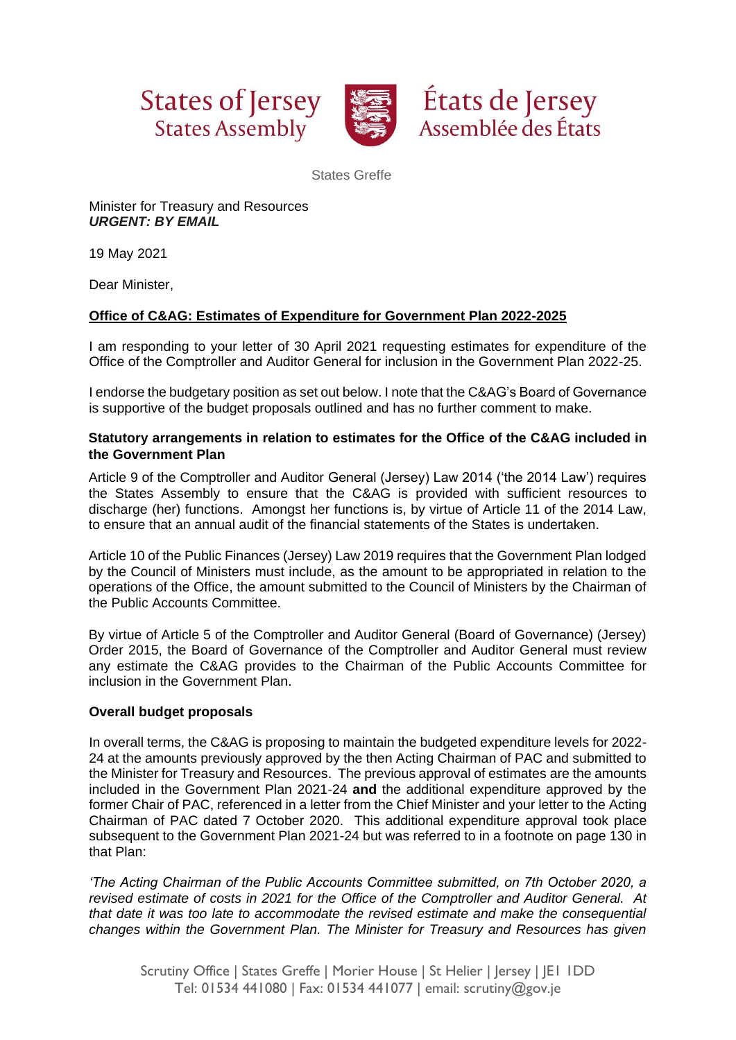





States Greffe

Minister for Treasury and Resources *URGENT: BY EMAIL*

19 May 2021

Dear Minister,

## **Office of C&AG: Estimates of Expenditure for Government Plan 2022-2025**

I am responding to your letter of 30 April 2021 requesting estimates for expenditure of the Office of the Comptroller and Auditor General for inclusion in the Government Plan 2022-25.

I endorse the budgetary position as set out below. I note that the C&AG's Board of Governance is supportive of the budget proposals outlined and has no further comment to make.

## **Statutory arrangements in relation to estimates for the Office of the C&AG included in the Government Plan**

Article 9 of the Comptroller and Auditor General (Jersey) Law 2014 ('the 2014 Law') requires the States Assembly to ensure that the C&AG is provided with sufficient resources to discharge (her) functions. Amongst her functions is, by virtue of Article 11 of the 2014 Law, to ensure that an annual audit of the financial statements of the States is undertaken.

Article 10 of the Public Finances (Jersey) Law 2019 requires that the Government Plan lodged by the Council of Ministers must include, as the amount to be appropriated in relation to the operations of the Office, the amount submitted to the Council of Ministers by the Chairman of the Public Accounts Committee.

By virtue of Article 5 of the Comptroller and Auditor General (Board of Governance) (Jersey) Order 2015, the Board of Governance of the Comptroller and Auditor General must review any estimate the C&AG provides to the Chairman of the Public Accounts Committee for inclusion in the Government Plan.

### **Overall budget proposals**

In overall terms, the C&AG is proposing to maintain the budgeted expenditure levels for 2022- 24 at the amounts previously approved by the then Acting Chairman of PAC and submitted to the Minister for Treasury and Resources. The previous approval of estimates are the amounts included in the Government Plan 2021-24 **and** the additional expenditure approved by the former Chair of PAC, referenced in a letter from the Chief Minister and your letter to the Acting Chairman of PAC dated 7 October 2020. This additional expenditure approval took place subsequent to the Government Plan 2021-24 but was referred to in a footnote on page 130 in that Plan:

*'The Acting Chairman of the Public Accounts Committee submitted, on 7th October 2020, a revised estimate of costs in 2021 for the Office of the Comptroller and Auditor General. At that date it was too late to accommodate the revised estimate and make the consequential changes within the Government Plan. The Minister for Treasury and Resources has given*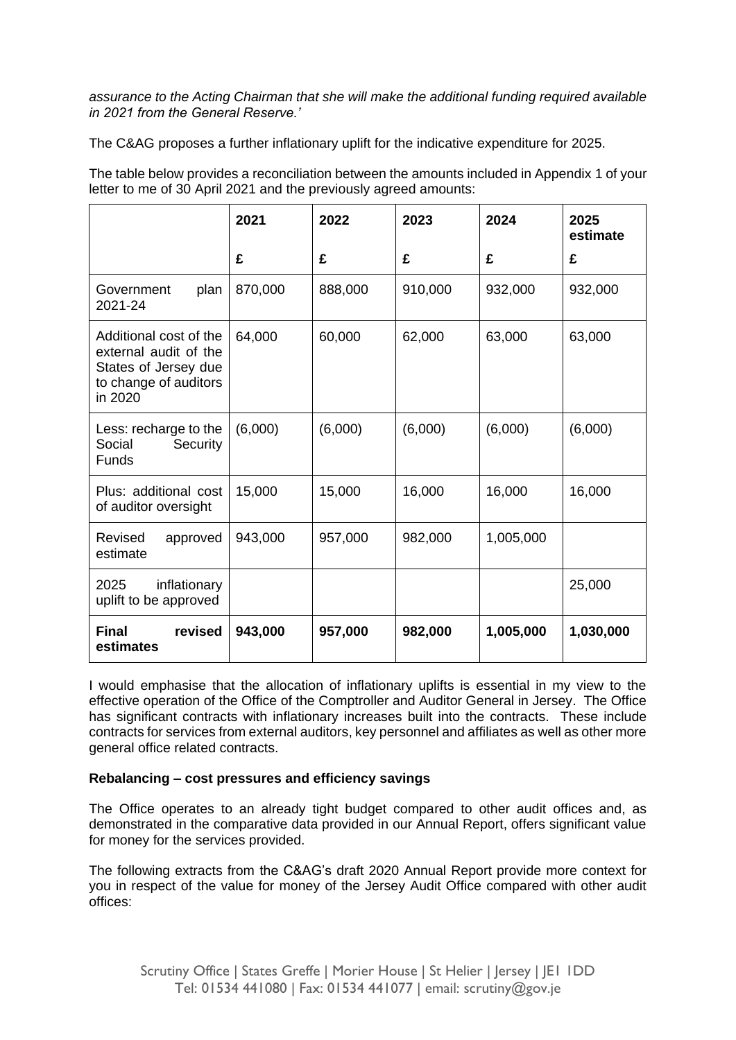*assurance to the Acting Chairman that she will make the additional funding required available in 2021 from the General Reserve.'*

The C&AG proposes a further inflationary uplift for the indicative expenditure for 2025.

The table below provides a reconciliation between the amounts included in Appendix 1 of your letter to me of 30 April 2021 and the previously agreed amounts:

|                                                                                                             | 2021    | 2022    | 2023    | 2024      | 2025<br>estimate |
|-------------------------------------------------------------------------------------------------------------|---------|---------|---------|-----------|------------------|
|                                                                                                             | £       | £       | £       | £         | £                |
| plan<br>Government<br>2021-24                                                                               | 870,000 | 888,000 | 910,000 | 932,000   | 932,000          |
| Additional cost of the<br>external audit of the<br>States of Jersey due<br>to change of auditors<br>in 2020 | 64,000  | 60,000  | 62,000  | 63,000    | 63,000           |
| Less: recharge to the<br>Security<br>Social<br><b>Funds</b>                                                 | (6,000) | (6,000) | (6,000) | (6,000)   | (6,000)          |
| Plus: additional cost<br>of auditor oversight                                                               | 15,000  | 15,000  | 16,000  | 16,000    | 16,000           |
| Revised<br>approved<br>estimate                                                                             | 943,000 | 957,000 | 982,000 | 1,005,000 |                  |
| inflationary<br>2025<br>uplift to be approved                                                               |         |         |         |           | 25,000           |
| <b>Final</b><br>revised<br>estimates                                                                        | 943,000 | 957,000 | 982,000 | 1,005,000 | 1,030,000        |

I would emphasise that the allocation of inflationary uplifts is essential in my view to the effective operation of the Office of the Comptroller and Auditor General in Jersey. The Office has significant contracts with inflationary increases built into the contracts. These include contracts for services from external auditors, key personnel and affiliates as well as other more general office related contracts.

### **Rebalancing – cost pressures and efficiency savings**

The Office operates to an already tight budget compared to other audit offices and, as demonstrated in the comparative data provided in our Annual Report, offers significant value for money for the services provided.

The following extracts from the C&AG's draft 2020 Annual Report provide more context for you in respect of the value for money of the Jersey Audit Office compared with other audit offices: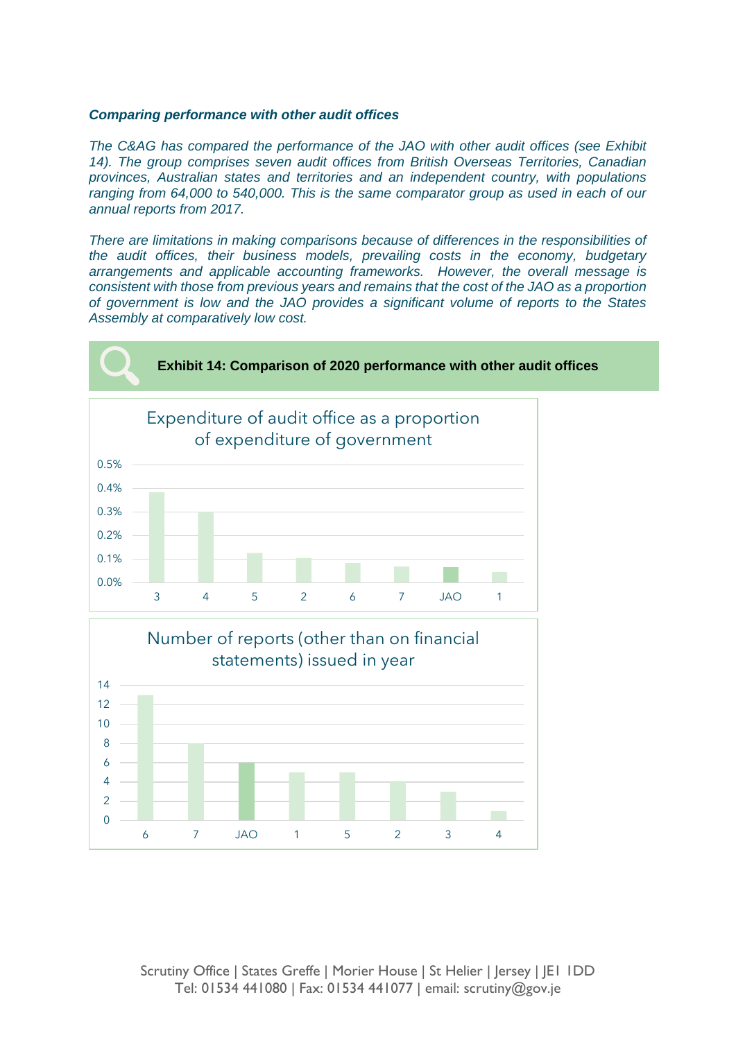#### *Comparing performance with other audit offices*

*The C&AG has compared the performance of the JAO with other audit offices (see Exhibit 14). The group comprises seven audit offices from British Overseas Territories, Canadian provinces, Australian states and territories and an independent country, with populations ranging from 64,000 to 540,000. This is the same comparator group as used in each of our annual reports from 2017.*

*There are limitations in making comparisons because of differences in the responsibilities of the audit offices, their business models, prevailing costs in the economy, budgetary arrangements and applicable accounting frameworks. However, the overall message is consistent with those from previous years and remains that the cost of the JAO as a proportion of government is low and the JAO provides a significant volume of reports to the States Assembly at comparatively low cost.*





Scrutiny Office | States Greffe | Morier House | St Helier | Jersey | JE1 1DD Tel: 01534 441080 | Fax: 01534 441077 | email: scrutiny@gov.je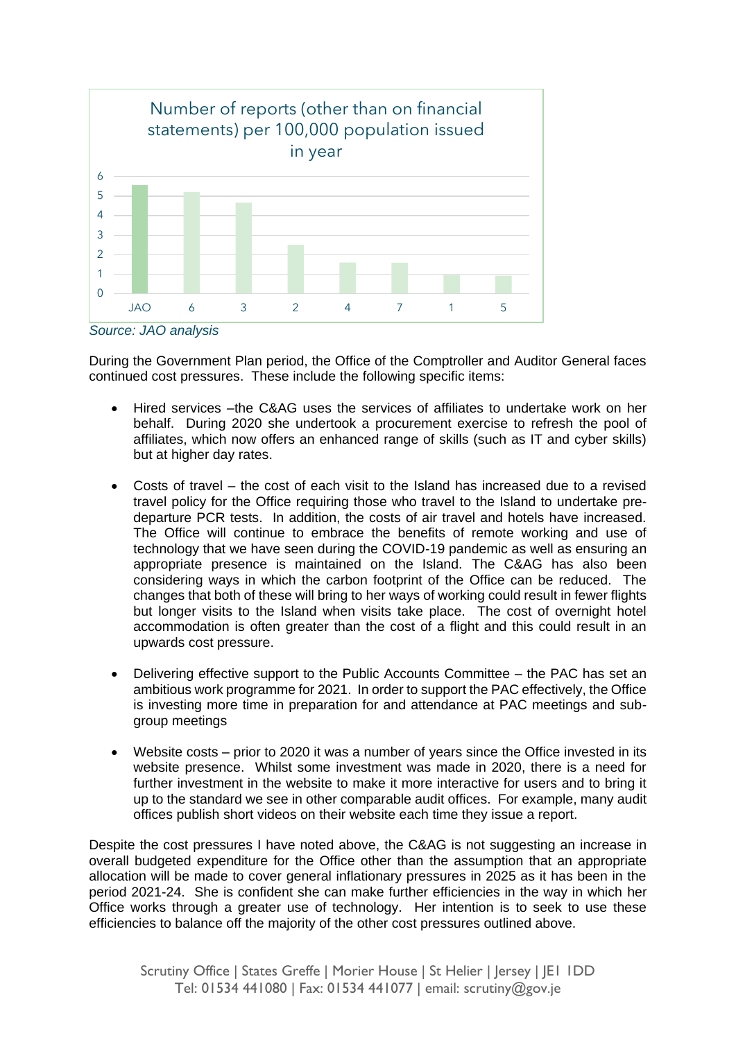

*Source: JAO analysis*

During the Government Plan period, the Office of the Comptroller and Auditor General faces continued cost pressures. These include the following specific items:

- Hired services –the C&AG uses the services of affiliates to undertake work on her behalf. During 2020 she undertook a procurement exercise to refresh the pool of affiliates, which now offers an enhanced range of skills (such as IT and cyber skills) but at higher day rates.
- Costs of travel the cost of each visit to the Island has increased due to a revised travel policy for the Office requiring those who travel to the Island to undertake predeparture PCR tests. In addition, the costs of air travel and hotels have increased. The Office will continue to embrace the benefits of remote working and use of technology that we have seen during the COVID-19 pandemic as well as ensuring an appropriate presence is maintained on the Island. The C&AG has also been considering ways in which the carbon footprint of the Office can be reduced. The changes that both of these will bring to her ways of working could result in fewer flights but longer visits to the Island when visits take place. The cost of overnight hotel accommodation is often greater than the cost of a flight and this could result in an upwards cost pressure.
- Delivering effective support to the Public Accounts Committee the PAC has set an ambitious work programme for 2021. In order to support the PAC effectively, the Office is investing more time in preparation for and attendance at PAC meetings and subgroup meetings
- Website costs prior to 2020 it was a number of years since the Office invested in its website presence. Whilst some investment was made in 2020, there is a need for further investment in the website to make it more interactive for users and to bring it up to the standard we see in other comparable audit offices. For example, many audit offices publish short videos on their website each time they issue a report.

Despite the cost pressures I have noted above, the C&AG is not suggesting an increase in overall budgeted expenditure for the Office other than the assumption that an appropriate allocation will be made to cover general inflationary pressures in 2025 as it has been in the period 2021-24. She is confident she can make further efficiencies in the way in which her Office works through a greater use of technology. Her intention is to seek to use these efficiencies to balance off the majority of the other cost pressures outlined above.